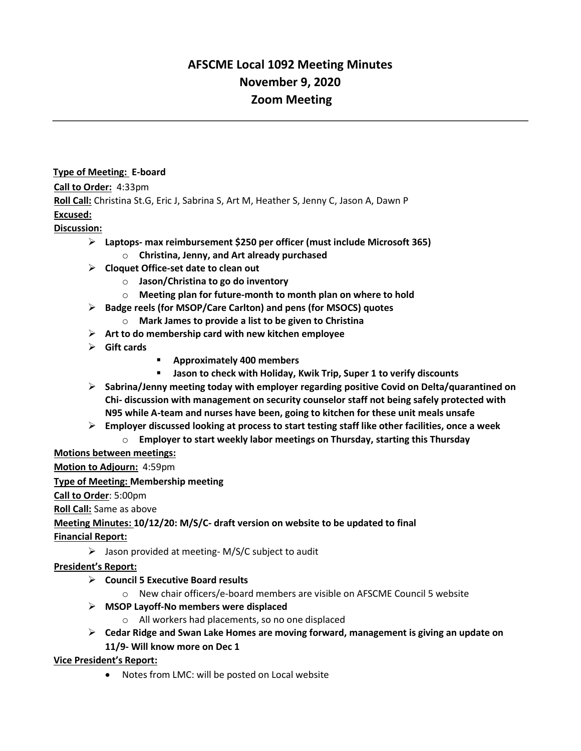# **AFSCME Local 1092 Meeting Minutes November 9, 2020 Zoom Meeting**

#### **Type of Meeting: E-board**

**Call to Order:** 4:33pm

**Roll Call:** Christina St.G, Eric J, Sabrina S, Art M, Heather S, Jenny C, Jason A, Dawn P **Excused:**

# **Discussion:**

- ➢ **Laptops- max reimbursement \$250 per officer (must include Microsoft 365)**
	- o **Christina, Jenny, and Art already purchased**
- ➢ **Cloquet Office-set date to clean out**
	- o **Jason/Christina to go do inventory**
	- o **Meeting plan for future-month to month plan on where to hold**
- ➢ **Badge reels (for MSOP/Care Carlton) and pens (for MSOCS) quotes**
	- o **Mark James to provide a list to be given to Christina**
- ➢ **Art to do membership card with new kitchen employee**
- ➢ **Gift cards**
- **Approximately 400 members**
- **Jason to check with Holiday, Kwik Trip, Super 1 to verify discounts**
- ➢ **Sabrina/Jenny meeting today with employer regarding positive Covid on Delta/quarantined on Chi- discussion with management on security counselor staff not being safely protected with N95 while A-team and nurses have been, going to kitchen for these unit meals unsafe**
- ➢ **Employer discussed looking at process to start testing staff like other facilities, once a week** o **Employer to start weekly labor meetings on Thursday, starting this Thursday**

**Motions between meetings:**

**Motion to Adjourn:** 4:59pm

**Type of Meeting: Membership meeting**

**Call to Order**: 5:00pm

**Roll Call:** Same as above

**Meeting Minutes: 10/12/20: M/S/C- draft version on website to be updated to final**

# **Financial Report:**

 $\triangleright$  Jason provided at meeting-M/S/C subject to audit

# **President's Report:**

- ➢ **Council 5 Executive Board results** 
	- o New chair officers/e-board members are visible on AFSCME Council 5 website
- ➢ **MSOP Layoff-No members were displaced**
	- o All workers had placements, so no one displaced
- ➢ **Cedar Ridge and Swan Lake Homes are moving forward, management is giving an update on 11/9- Will know more on Dec 1**

# **Vice President's Report:**

• Notes from LMC: will be posted on Local website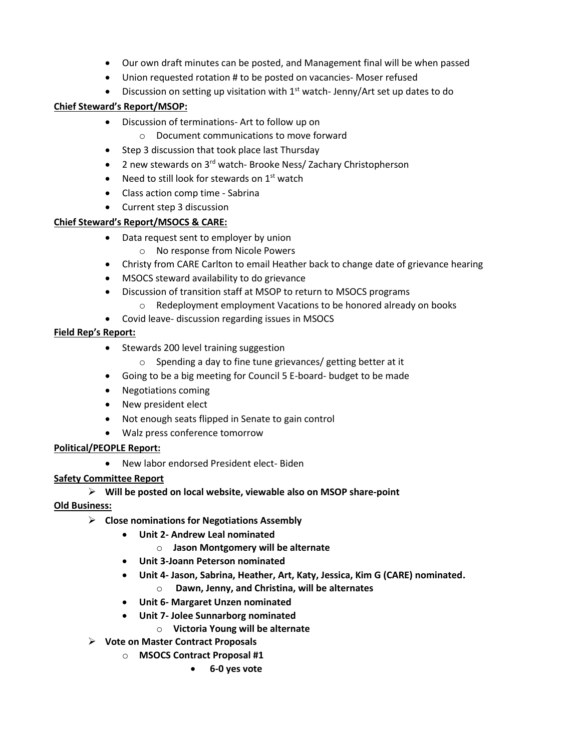- Our own draft minutes can be posted, and Management final will be when passed
- Union requested rotation # to be posted on vacancies- Moser refused
- Discussion on setting up visitation with 1<sup>st</sup> watch-Jenny/Art set up dates to do

#### **Chief Steward's Report/MSOP:**

- Discussion of terminations- Art to follow up on
	- o Document communications to move forward
- Step 3 discussion that took place last Thursday
- 2 new stewards on 3<sup>rd</sup> watch- Brooke Ness/ Zachary Christopherson
- Need to still look for stewards on  $1<sup>st</sup>$  watch
- Class action comp time Sabrina
- Current step 3 discussion

#### **Chief Steward's Report/MSOCS & CARE:**

- Data request sent to employer by union
	- o No response from Nicole Powers
- Christy from CARE Carlton to email Heather back to change date of grievance hearing
- MSOCS steward availability to do grievance
- Discussion of transition staff at MSOP to return to MSOCS programs
	- o Redeployment employment Vacations to be honored already on books
- Covid leave- discussion regarding issues in MSOCS

#### **Field Rep's Report:**

- Stewards 200 level training suggestion
	- o Spending a day to fine tune grievances/ getting better at it
- Going to be a big meeting for Council 5 E-board- budget to be made
- Negotiations coming
- New president elect
- Not enough seats flipped in Senate to gain control
- Walz press conference tomorrow

#### **Political/PEOPLE Report:**

• New labor endorsed President elect- Biden

#### **Safety Committee Report**

➢ **Will be posted on local website, viewable also on MSOP share-point**

# **Old Business:**

- ➢ **Close nominations for Negotiations Assembly**
	- **Unit 2- Andrew Leal nominated**
		- o **Jason Montgomery will be alternate**
	- **Unit 3-Joann Peterson nominated**
	- **Unit 4- Jason, Sabrina, Heather, Art, Katy, Jessica, Kim G (CARE) nominated.**
		- o **Dawn, Jenny, and Christina, will be alternates**
	- **Unit 6- Margaret Unzen nominated**
	- **Unit 7- Jolee Sunnarborg nominated**
		- o **Victoria Young will be alternate**
- ➢ **Vote on Master Contract Proposals**
	- o **MSOCS Contract Proposal #1**
		- **6-0 yes vote**